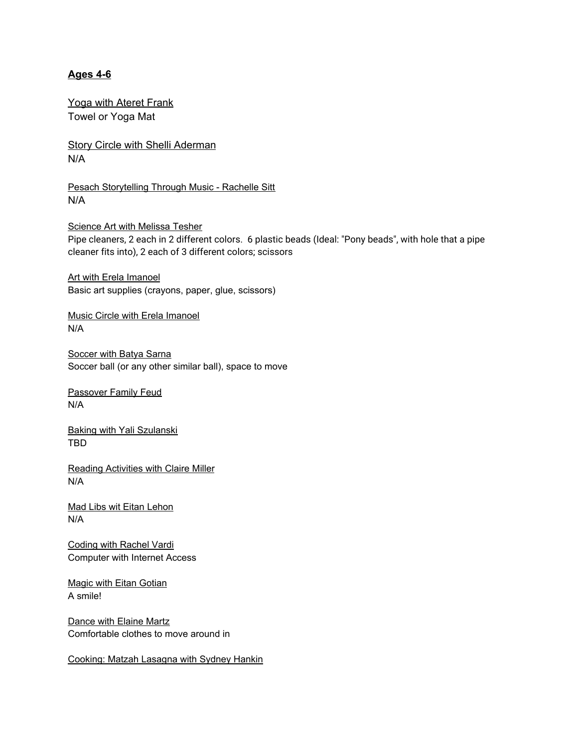# **Ages 4-6**

Yoga with Ateret Frank Towel or Yoga Mat

Story Circle with Shelli Aderman N/A

Pesach Storytelling Through Music - Rachelle Sitt N/A

Science Art with Melissa Tesher Pipe cleaners, 2 each in 2 different colors. 6 plastic beads (Ideal: "Pony beads", with hole that a pipe cleaner fits into), 2 each of 3 different colors; scissors

Art with Erela Imanoel Basic art supplies (crayons, paper, glue, scissors)

Music Circle with Erela Imanoel N/A

**Soccer with Batya Sarna** Soccer ball (or any other similar ball), space to move

Passover Family Feud N/A

Baking with Yali Szulanski TBD

Reading Activities with Claire Miller N/A

Mad Libs wit Eitan Lehon N/A

Coding with Rachel Vardi Computer with Internet Access

Magic with Eitan Gotian A smile!

Dance with Elaine Martz Comfortable clothes to move around in

Cooking: Matzah Lasagna with Sydney Hankin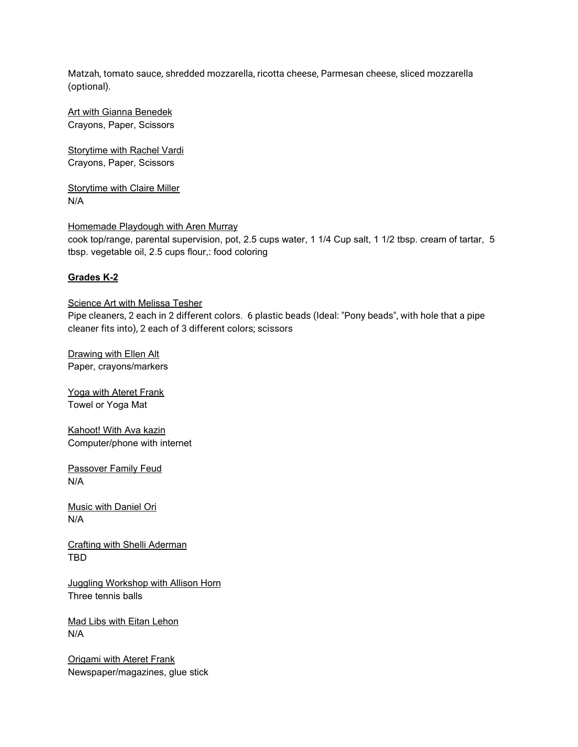Matzah, tomato sauce, shredded mozzarella, ricotta cheese, Parmesan cheese, sliced mozzarella (optional).

Art with Gianna Benedek Crayons, Paper, Scissors

Storytime with Rachel Vardi Crayons, Paper, Scissors

Storytime with Claire Miller N/A

### Homemade Playdough with Aren Murray

cook top/range, parental supervision, pot, 2.5 cups water, 1 1/4 Cup salt, 1 1/2 tbsp. cream of tartar, 5 tbsp. vegetable oil, 2.5 cups flour,: food coloring

# **Grades K-2**

Science Art with Melissa Tesher Pipe cleaners, 2 each in 2 different colors. 6 plastic beads (Ideal: "Pony beads", with hole that a pipe cleaner fits into), 2 each of 3 different colors; scissors

Drawing with Ellen Alt Paper, crayons/markers

Yoga with Ateret Frank Towel or Yoga Mat

Kahoot! With Ava kazin Computer/phone with internet

Passover Family Feud N/A

Music with Daniel Ori N/A

Crafting with Shelli Aderman TBD

Juggling Workshop with Allison Horn Three tennis balls

Mad Libs with Eitan Lehon N/A

Origami with Ateret Frank Newspaper/magazines, glue stick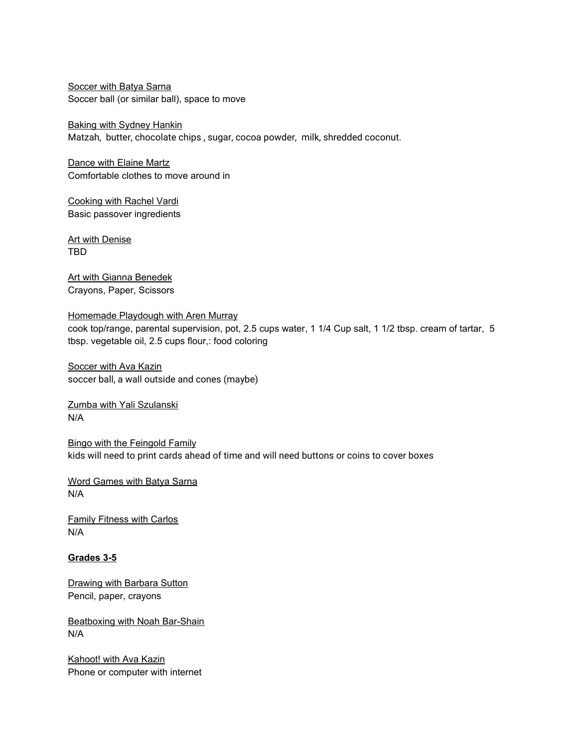Soccer with Batya Sarna Soccer ball (or similar ball), space to move

Baking with Sydney Hankin Matzah, butter, chocolate chips , sugar, cocoa powder, milk, shredded coconut.

Dance with Elaine Martz Comfortable clothes to move around in

Cooking with Rachel Vardi Basic passover ingredients

Art with Denise TBD

Art with Gianna Benedek Crayons, Paper, Scissors

Homemade Playdough with Aren Murray cook top/range, parental supervision, pot, 2.5 cups water, 1 1/4 Cup salt, 1 1/2 tbsp. cream of tartar, 5 tbsp. vegetable oil, 2.5 cups flour,: food coloring

**Soccer with Ava Kazin** soccer ball, a wall outside and cones (maybe)

Zumba with Yali Szulanski N/A

Bingo with the Feingold Family kids will need to print cards ahead of time and will need buttons or coins to cover boxes

Word Games with Batya Sarna N/A

Family Fitness with Carlos N/A

## **Grades 3-5**

Drawing with Barbara Sutton Pencil, paper, crayons

Beatboxing with Noah Bar-Shain N/A

Kahoot! with Ava Kazin Phone or computer with internet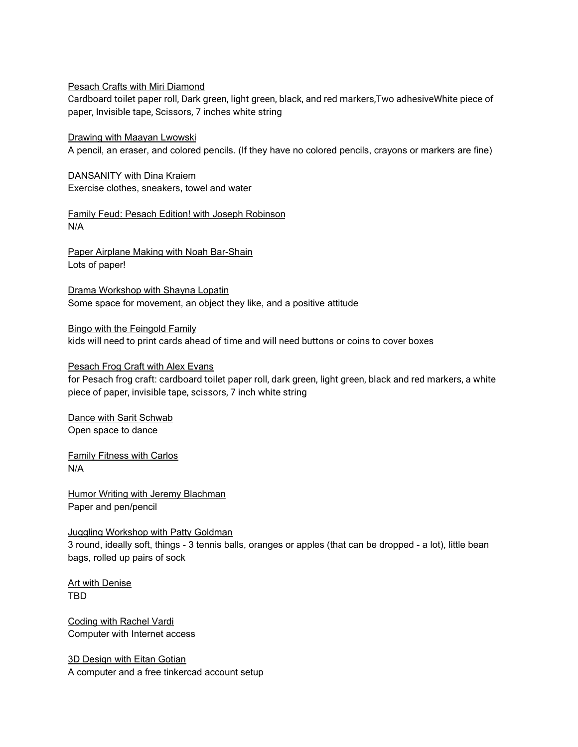#### Pesach Crafts with Miri Diamond

Cardboard toilet paper roll, Dark green, light green, black, and red markers,Two adhesiveWhite piece of paper, Invisible tape, Scissors, 7 inches white string

Drawing with Maayan Lwowski

A pencil, an eraser, and colored pencils. (If they have no colored pencils, crayons or markers are fine)

DANSANITY with Dina Kraiem Exercise clothes, sneakers, towel and water

Family Feud: Pesach Edition! with Joseph Robinson N/A

Paper Airplane Making with Noah Bar-Shain Lots of paper!

Drama Workshop with Shayna Lopatin Some space for movement, an object they like, and a positive attitude

#### Bingo with the Feingold Family

kids will need to print cards ahead of time and will need buttons or coins to cover boxes

### Pesach Frog Craft with Alex Evans

for Pesach frog craft: cardboard toilet paper roll, dark green, light green, black and red markers, a white piece of paper, invisible tape, scissors, 7 inch white string

Dance with Sarit Schwab Open space to dance

Family Fitness with Carlos N/A

Humor Writing with Jeremy Blachman Paper and pen/pencil

#### Juggling Workshop with Patty Goldman

3 round, ideally soft, things - 3 tennis balls, oranges or apples (that can be dropped - a lot), little bean bags, rolled up pairs of sock

Art with Denise TBD

Coding with Rachel Vardi Computer with Internet access

3D Design with Eitan Gotian A computer and a free tinkercad account setup